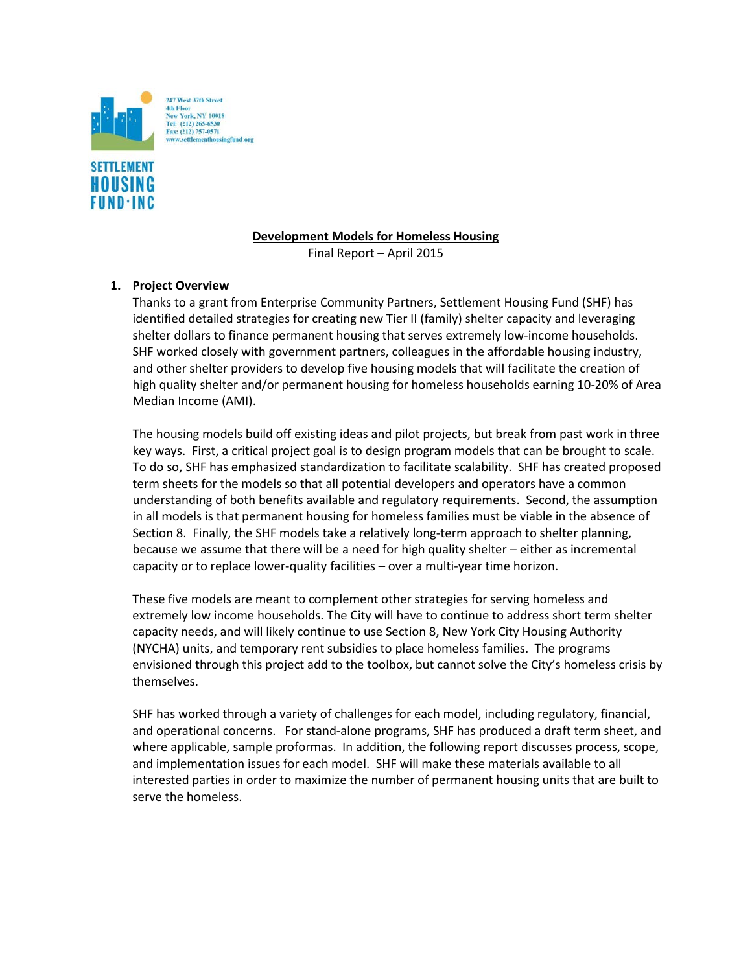



## **Development Models for Homeless Housing**

Final Report – April 2015

# **1. Project Overview**

Thanks to a grant from Enterprise Community Partners, Settlement Housing Fund (SHF) has identified detailed strategies for creating new Tier II (family) shelter capacity and leveraging shelter dollars to finance permanent housing that serves extremely low-income households. SHF worked closely with government partners, colleagues in the affordable housing industry, and other shelter providers to develop five housing models that will facilitate the creation of high quality shelter and/or permanent housing for homeless households earning 10-20% of Area Median Income (AMI).

The housing models build off existing ideas and pilot projects, but break from past work in three key ways. First, a critical project goal is to design program models that can be brought to scale. To do so, SHF has emphasized standardization to facilitate scalability. SHF has created proposed term sheets for the models so that all potential developers and operators have a common understanding of both benefits available and regulatory requirements. Second, the assumption in all models is that permanent housing for homeless families must be viable in the absence of Section 8. Finally, the SHF models take a relatively long-term approach to shelter planning, because we assume that there will be a need for high quality shelter – either as incremental capacity or to replace lower-quality facilities – over a multi-year time horizon.

These five models are meant to complement other strategies for serving homeless and extremely low income households. The City will have to continue to address short term shelter capacity needs, and will likely continue to use Section 8, New York City Housing Authority (NYCHA) units, and temporary rent subsidies to place homeless families. The programs envisioned through this project add to the toolbox, but cannot solve the City's homeless crisis by themselves.

SHF has worked through a variety of challenges for each model, including regulatory, financial, and operational concerns. For stand-alone programs, SHF has produced a draft term sheet, and where applicable, sample proformas. In addition, the following report discusses process, scope, and implementation issues for each model. SHF will make these materials available to all interested parties in order to maximize the number of permanent housing units that are built to serve the homeless.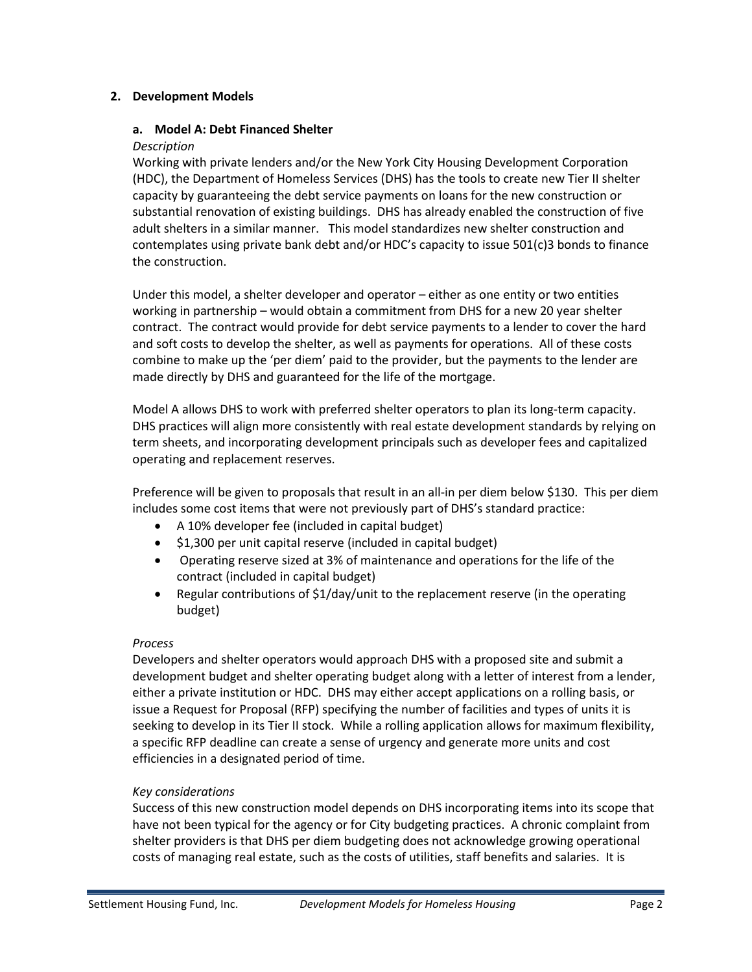## **2. Development Models**

### **a. Model A: Debt Financed Shelter**

#### *Description*

Working with private lenders and/or the New York City Housing Development Corporation (HDC), the Department of Homeless Services (DHS) has the tools to create new Tier II shelter capacity by guaranteeing the debt service payments on loans for the new construction or substantial renovation of existing buildings. DHS has already enabled the construction of five adult shelters in a similar manner. This model standardizes new shelter construction and contemplates using private bank debt and/or HDC's capacity to issue 501(c)3 bonds to finance the construction.

Under this model, a shelter developer and operator – either as one entity or two entities working in partnership – would obtain a commitment from DHS for a new 20 year shelter contract. The contract would provide for debt service payments to a lender to cover the hard and soft costs to develop the shelter, as well as payments for operations. All of these costs combine to make up the 'per diem' paid to the provider, but the payments to the lender are made directly by DHS and guaranteed for the life of the mortgage.

Model A allows DHS to work with preferred shelter operators to plan its long-term capacity. DHS practices will align more consistently with real estate development standards by relying on term sheets, and incorporating development principals such as developer fees and capitalized operating and replacement reserves.

Preference will be given to proposals that result in an all-in per diem below \$130. This per diem includes some cost items that were not previously part of DHS's standard practice:

- A 10% developer fee (included in capital budget)
- \$1,300 per unit capital reserve (included in capital budget)
- Operating reserve sized at 3% of maintenance and operations for the life of the contract (included in capital budget)
- Regular contributions of \$1/day/unit to the replacement reserve (in the operating budget)

### *Process*

Developers and shelter operators would approach DHS with a proposed site and submit a development budget and shelter operating budget along with a letter of interest from a lender, either a private institution or HDC. DHS may either accept applications on a rolling basis, or issue a Request for Proposal (RFP) specifying the number of facilities and types of units it is seeking to develop in its Tier II stock. While a rolling application allows for maximum flexibility, a specific RFP deadline can create a sense of urgency and generate more units and cost efficiencies in a designated period of time.

### *Key considerations*

Success of this new construction model depends on DHS incorporating items into its scope that have not been typical for the agency or for City budgeting practices. A chronic complaint from shelter providers is that DHS per diem budgeting does not acknowledge growing operational costs of managing real estate, such as the costs of utilities, staff benefits and salaries. It is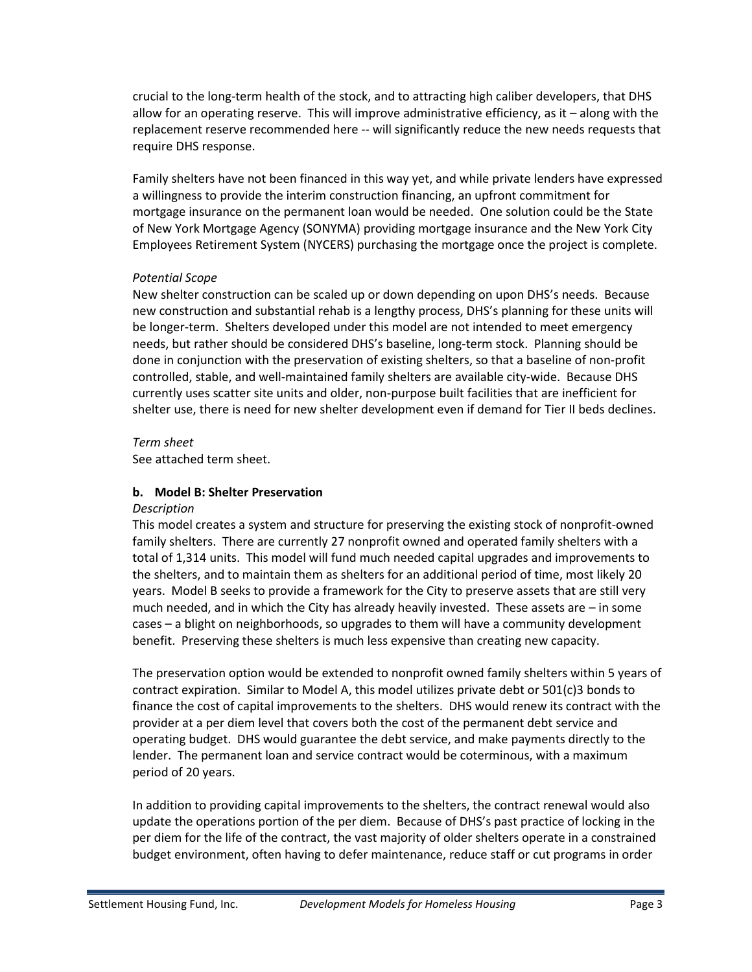crucial to the long-term health of the stock, and to attracting high caliber developers, that DHS allow for an operating reserve. This will improve administrative efficiency, as it – along with the replacement reserve recommended here -- will significantly reduce the new needs requests that require DHS response.

Family shelters have not been financed in this way yet, and while private lenders have expressed a willingness to provide the interim construction financing, an upfront commitment for mortgage insurance on the permanent loan would be needed. One solution could be the State of New York Mortgage Agency (SONYMA) providing mortgage insurance and the New York City Employees Retirement System (NYCERS) purchasing the mortgage once the project is complete.

## *Potential Scope*

New shelter construction can be scaled up or down depending on upon DHS's needs. Because new construction and substantial rehab is a lengthy process, DHS's planning for these units will be longer-term. Shelters developed under this model are not intended to meet emergency needs, but rather should be considered DHS's baseline, long-term stock. Planning should be done in conjunction with the preservation of existing shelters, so that a baseline of non-profit controlled, stable, and well-maintained family shelters are available city-wide. Because DHS currently uses scatter site units and older, non-purpose built facilities that are inefficient for shelter use, there is need for new shelter development even if demand for Tier II beds declines.

## *Term sheet*

See attached term sheet.

# **b. Model B: Shelter Preservation**

### *Description*

This model creates a system and structure for preserving the existing stock of nonprofit-owned family shelters. There are currently 27 nonprofit owned and operated family shelters with a total of 1,314 units. This model will fund much needed capital upgrades and improvements to the shelters, and to maintain them as shelters for an additional period of time, most likely 20 years. Model B seeks to provide a framework for the City to preserve assets that are still very much needed, and in which the City has already heavily invested. These assets are – in some cases – a blight on neighborhoods, so upgrades to them will have a community development benefit. Preserving these shelters is much less expensive than creating new capacity.

The preservation option would be extended to nonprofit owned family shelters within 5 years of contract expiration. Similar to Model A, this model utilizes private debt or  $501(c)3$  bonds to finance the cost of capital improvements to the shelters. DHS would renew its contract with the provider at a per diem level that covers both the cost of the permanent debt service and operating budget. DHS would guarantee the debt service, and make payments directly to the lender. The permanent loan and service contract would be coterminous, with a maximum period of 20 years.

In addition to providing capital improvements to the shelters, the contract renewal would also update the operations portion of the per diem. Because of DHS's past practice of locking in the per diem for the life of the contract, the vast majority of older shelters operate in a constrained budget environment, often having to defer maintenance, reduce staff or cut programs in order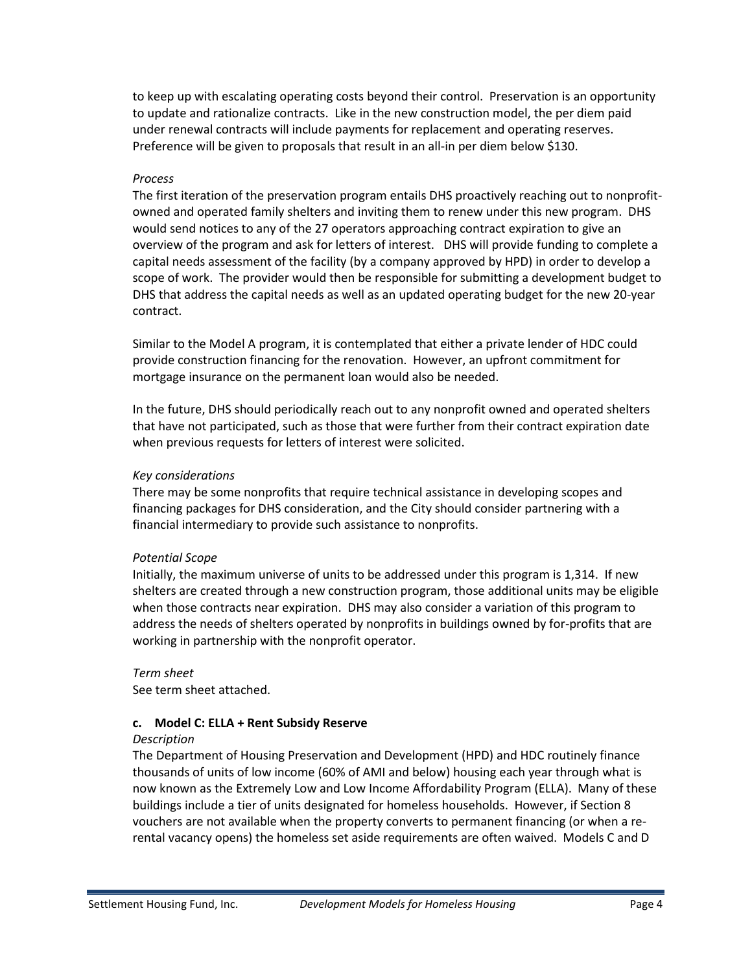to keep up with escalating operating costs beyond their control. Preservation is an opportunity to update and rationalize contracts. Like in the new construction model, the per diem paid under renewal contracts will include payments for replacement and operating reserves. Preference will be given to proposals that result in an all-in per diem below \$130.

## *Process*

The first iteration of the preservation program entails DHS proactively reaching out to nonprofitowned and operated family shelters and inviting them to renew under this new program. DHS would send notices to any of the 27 operators approaching contract expiration to give an overview of the program and ask for letters of interest. DHS will provide funding to complete a capital needs assessment of the facility (by a company approved by HPD) in order to develop a scope of work. The provider would then be responsible for submitting a development budget to DHS that address the capital needs as well as an updated operating budget for the new 20-year contract.

Similar to the Model A program, it is contemplated that either a private lender of HDC could provide construction financing for the renovation. However, an upfront commitment for mortgage insurance on the permanent loan would also be needed.

In the future, DHS should periodically reach out to any nonprofit owned and operated shelters that have not participated, such as those that were further from their contract expiration date when previous requests for letters of interest were solicited.

### *Key considerations*

There may be some nonprofits that require technical assistance in developing scopes and financing packages for DHS consideration, and the City should consider partnering with a financial intermediary to provide such assistance to nonprofits.

### *Potential Scope*

Initially, the maximum universe of units to be addressed under this program is 1,314. If new shelters are created through a new construction program, those additional units may be eligible when those contracts near expiration. DHS may also consider a variation of this program to address the needs of shelters operated by nonprofits in buildings owned by for-profits that are working in partnership with the nonprofit operator.

### *Term sheet*

See term sheet attached.

### **c. Model C: ELLA + Rent Subsidy Reserve**

### *Description*

The Department of Housing Preservation and Development (HPD) and HDC routinely finance thousands of units of low income (60% of AMI and below) housing each year through what is now known as the Extremely Low and Low Income Affordability Program (ELLA). Many of these buildings include a tier of units designated for homeless households. However, if Section 8 vouchers are not available when the property converts to permanent financing (or when a rerental vacancy opens) the homeless set aside requirements are often waived. Models C and D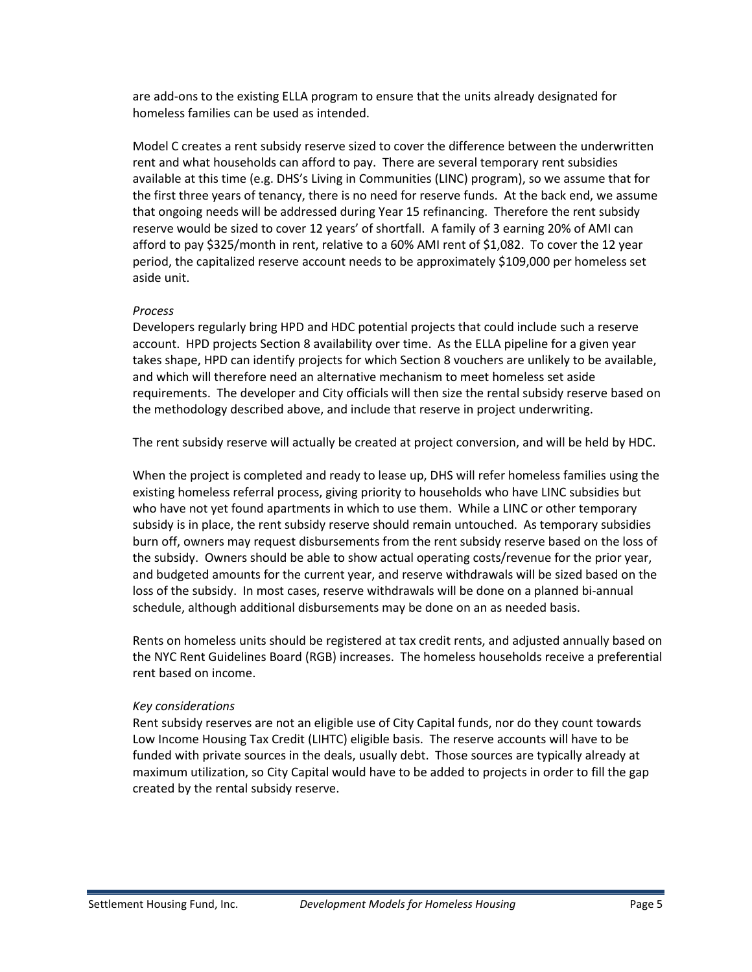are add-ons to the existing ELLA program to ensure that the units already designated for homeless families can be used as intended.

Model C creates a rent subsidy reserve sized to cover the difference between the underwritten rent and what households can afford to pay. There are several temporary rent subsidies available at this time (e.g. DHS's Living in Communities (LINC) program), so we assume that for the first three years of tenancy, there is no need for reserve funds. At the back end, we assume that ongoing needs will be addressed during Year 15 refinancing. Therefore the rent subsidy reserve would be sized to cover 12 years' of shortfall. A family of 3 earning 20% of AMI can afford to pay \$325/month in rent, relative to a 60% AMI rent of \$1,082. To cover the 12 year period, the capitalized reserve account needs to be approximately \$109,000 per homeless set aside unit.

## *Process*

Developers regularly bring HPD and HDC potential projects that could include such a reserve account. HPD projects Section 8 availability over time. As the ELLA pipeline for a given year takes shape, HPD can identify projects for which Section 8 vouchers are unlikely to be available, and which will therefore need an alternative mechanism to meet homeless set aside requirements. The developer and City officials will then size the rental subsidy reserve based on the methodology described above, and include that reserve in project underwriting.

The rent subsidy reserve will actually be created at project conversion, and will be held by HDC.

When the project is completed and ready to lease up, DHS will refer homeless families using the existing homeless referral process, giving priority to households who have LINC subsidies but who have not yet found apartments in which to use them. While a LINC or other temporary subsidy is in place, the rent subsidy reserve should remain untouched. As temporary subsidies burn off, owners may request disbursements from the rent subsidy reserve based on the loss of the subsidy. Owners should be able to show actual operating costs/revenue for the prior year, and budgeted amounts for the current year, and reserve withdrawals will be sized based on the loss of the subsidy. In most cases, reserve withdrawals will be done on a planned bi-annual schedule, although additional disbursements may be done on an as needed basis.

Rents on homeless units should be registered at tax credit rents, and adjusted annually based on the NYC Rent Guidelines Board (RGB) increases. The homeless households receive a preferential rent based on income.

# *Key considerations*

Rent subsidy reserves are not an eligible use of City Capital funds, nor do they count towards Low Income Housing Tax Credit (LIHTC) eligible basis. The reserve accounts will have to be funded with private sources in the deals, usually debt. Those sources are typically already at maximum utilization, so City Capital would have to be added to projects in order to fill the gap created by the rental subsidy reserve.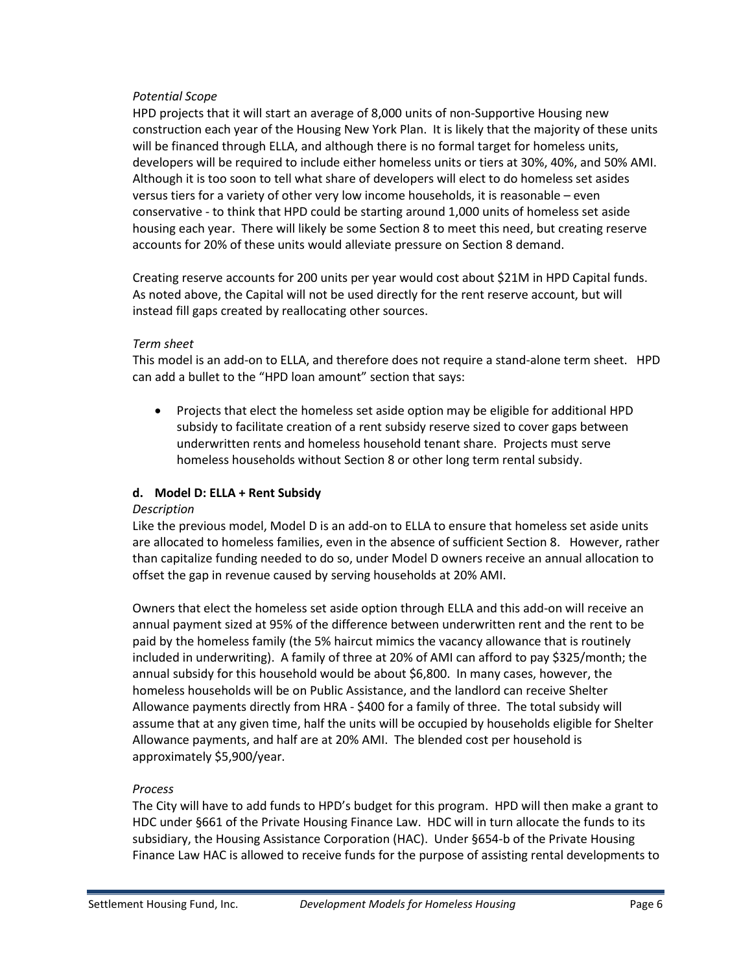## *Potential Scope*

HPD projects that it will start an average of 8,000 units of non-Supportive Housing new construction each year of the Housing New York Plan. It is likely that the majority of these units will be financed through ELLA, and although there is no formal target for homeless units, developers will be required to include either homeless units or tiers at 30%, 40%, and 50% AMI. Although it is too soon to tell what share of developers will elect to do homeless set asides versus tiers for a variety of other very low income households, it is reasonable – even conservative - to think that HPD could be starting around 1,000 units of homeless set aside housing each year. There will likely be some Section 8 to meet this need, but creating reserve accounts for 20% of these units would alleviate pressure on Section 8 demand.

Creating reserve accounts for 200 units per year would cost about \$21M in HPD Capital funds. As noted above, the Capital will not be used directly for the rent reserve account, but will instead fill gaps created by reallocating other sources.

## *Term sheet*

This model is an add-on to ELLA, and therefore does not require a stand-alone term sheet. HPD can add a bullet to the "HPD loan amount" section that says:

• Projects that elect the homeless set aside option may be eligible for additional HPD subsidy to facilitate creation of a rent subsidy reserve sized to cover gaps between underwritten rents and homeless household tenant share. Projects must serve homeless households without Section 8 or other long term rental subsidy.

# **d. Model D: ELLA + Rent Subsidy**

### *Description*

Like the previous model, Model D is an add-on to ELLA to ensure that homeless set aside units are allocated to homeless families, even in the absence of sufficient Section 8. However, rather than capitalize funding needed to do so, under Model D owners receive an annual allocation to offset the gap in revenue caused by serving households at 20% AMI.

Owners that elect the homeless set aside option through ELLA and this add-on will receive an annual payment sized at 95% of the difference between underwritten rent and the rent to be paid by the homeless family (the 5% haircut mimics the vacancy allowance that is routinely included in underwriting). A family of three at 20% of AMI can afford to pay \$325/month; the annual subsidy for this household would be about \$6,800. In many cases, however, the homeless households will be on Public Assistance, and the landlord can receive Shelter Allowance payments directly from HRA - \$400 for a family of three. The total subsidy will assume that at any given time, half the units will be occupied by households eligible for Shelter Allowance payments, and half are at 20% AMI. The blended cost per household is approximately \$5,900/year.

# *Process*

The City will have to add funds to HPD's budget for this program. HPD will then make a grant to HDC under §661 of the Private Housing Finance Law. HDC will in turn allocate the funds to its subsidiary, the Housing Assistance Corporation (HAC). Under §654-b of the Private Housing Finance Law HAC is allowed to receive funds for the purpose of assisting rental developments to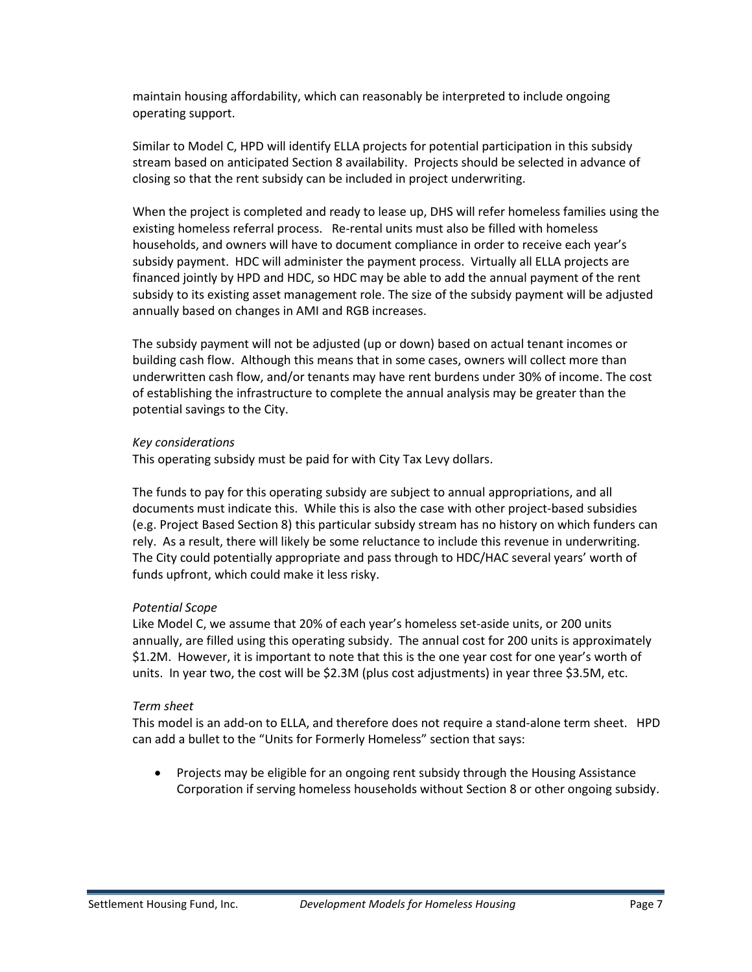maintain housing affordability, which can reasonably be interpreted to include ongoing operating support.

Similar to Model C, HPD will identify ELLA projects for potential participation in this subsidy stream based on anticipated Section 8 availability. Projects should be selected in advance of closing so that the rent subsidy can be included in project underwriting.

When the project is completed and ready to lease up, DHS will refer homeless families using the existing homeless referral process. Re-rental units must also be filled with homeless households, and owners will have to document compliance in order to receive each year's subsidy payment. HDC will administer the payment process. Virtually all ELLA projects are financed jointly by HPD and HDC, so HDC may be able to add the annual payment of the rent subsidy to its existing asset management role. The size of the subsidy payment will be adjusted annually based on changes in AMI and RGB increases.

The subsidy payment will not be adjusted (up or down) based on actual tenant incomes or building cash flow. Although this means that in some cases, owners will collect more than underwritten cash flow, and/or tenants may have rent burdens under 30% of income. The cost of establishing the infrastructure to complete the annual analysis may be greater than the potential savings to the City.

### *Key considerations*

This operating subsidy must be paid for with City Tax Levy dollars.

The funds to pay for this operating subsidy are subject to annual appropriations, and all documents must indicate this. While this is also the case with other project-based subsidies (e.g. Project Based Section 8) this particular subsidy stream has no history on which funders can rely. As a result, there will likely be some reluctance to include this revenue in underwriting. The City could potentially appropriate and pass through to HDC/HAC several years' worth of funds upfront, which could make it less risky.

### *Potential Scope*

Like Model C, we assume that 20% of each year's homeless set-aside units, or 200 units annually, are filled using this operating subsidy. The annual cost for 200 units is approximately \$1.2M. However, it is important to note that this is the one year cost for one year's worth of units. In year two, the cost will be \$2.3M (plus cost adjustments) in year three \$3.5M, etc.

### *Term sheet*

This model is an add-on to ELLA, and therefore does not require a stand-alone term sheet. HPD can add a bullet to the "Units for Formerly Homeless" section that says:

• Projects may be eligible for an ongoing rent subsidy through the Housing Assistance Corporation if serving homeless households without Section 8 or other ongoing subsidy.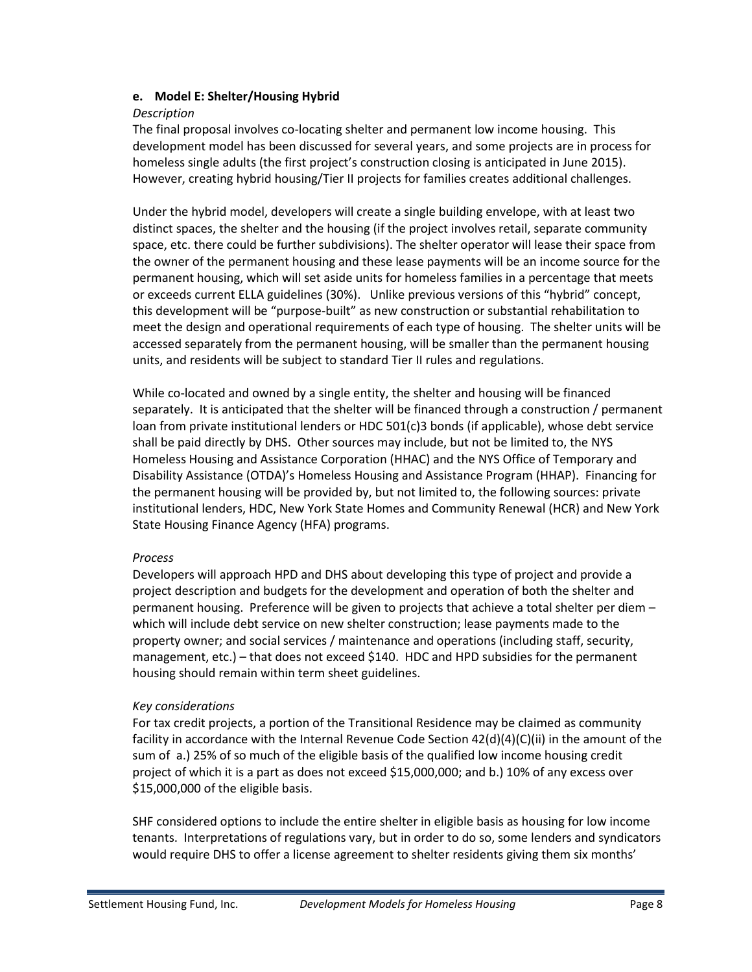## **e. Model E: Shelter/Housing Hybrid**

### *Description*

The final proposal involves co-locating shelter and permanent low income housing. This development model has been discussed for several years, and some projects are in process for homeless single adults (the first project's construction closing is anticipated in June 2015). However, creating hybrid housing/Tier II projects for families creates additional challenges.

Under the hybrid model, developers will create a single building envelope, with at least two distinct spaces, the shelter and the housing (if the project involves retail, separate community space, etc. there could be further subdivisions). The shelter operator will lease their space from the owner of the permanent housing and these lease payments will be an income source for the permanent housing, which will set aside units for homeless families in a percentage that meets or exceeds current ELLA guidelines (30%). Unlike previous versions of this "hybrid" concept, this development will be "purpose-built" as new construction or substantial rehabilitation to meet the design and operational requirements of each type of housing. The shelter units will be accessed separately from the permanent housing, will be smaller than the permanent housing units, and residents will be subject to standard Tier II rules and regulations.

While co-located and owned by a single entity, the shelter and housing will be financed separately. It is anticipated that the shelter will be financed through a construction / permanent loan from private institutional lenders or HDC 501(c)3 bonds (if applicable), whose debt service shall be paid directly by DHS. Other sources may include, but not be limited to, the NYS Homeless Housing and Assistance Corporation (HHAC) and the NYS Office of Temporary and Disability Assistance (OTDA)'s Homeless Housing and Assistance Program (HHAP). Financing for the permanent housing will be provided by, but not limited to, the following sources: private institutional lenders, HDC, New York State Homes and Community Renewal (HCR) and New York State Housing Finance Agency (HFA) programs.

### *Process*

Developers will approach HPD and DHS about developing this type of project and provide a project description and budgets for the development and operation of both the shelter and permanent housing. Preference will be given to projects that achieve a total shelter per diem – which will include debt service on new shelter construction; lease payments made to the property owner; and social services / maintenance and operations (including staff, security, management, etc.) – that does not exceed \$140. HDC and HPD subsidies for the permanent housing should remain within term sheet guidelines.

# *Key considerations*

For tax credit projects, a portion of the Transitional Residence may be claimed as community facility in accordance with the Internal Revenue Code Section 42(d)(4)(C)(ii) in the amount of the sum of a.) 25% of so much of the eligible basis of the qualified low income housing credit project of which it is a part as does not exceed \$15,000,000; and b.) 10% of any excess over \$15,000,000 of the eligible basis.

SHF considered options to include the entire shelter in eligible basis as housing for low income tenants. Interpretations of regulations vary, but in order to do so, some lenders and syndicators would require DHS to offer a license agreement to shelter residents giving them six months'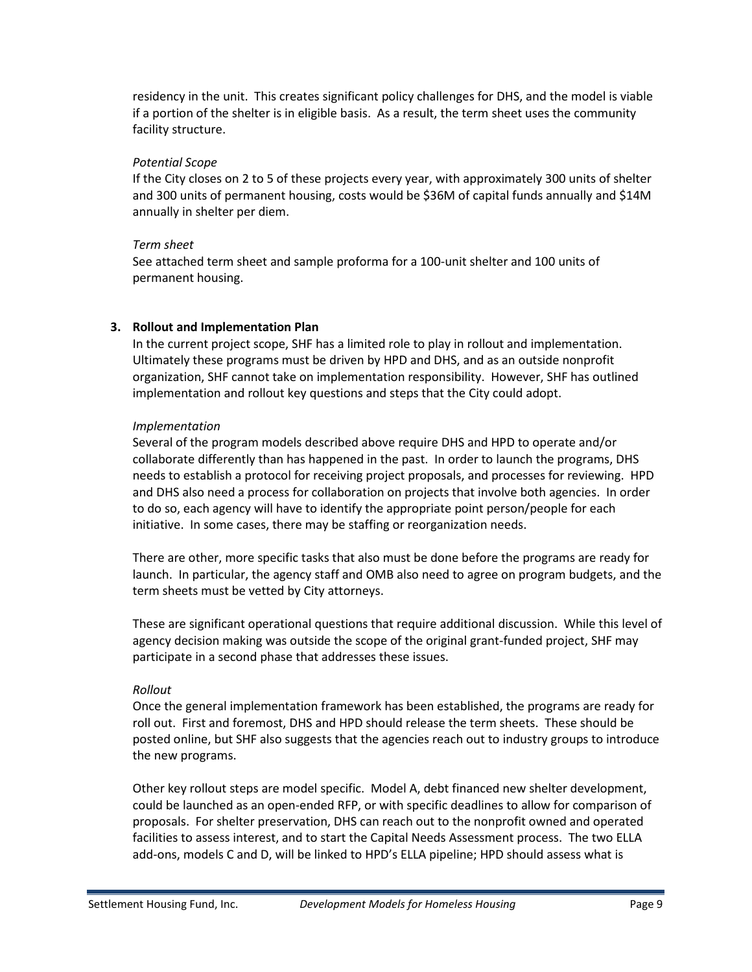residency in the unit. This creates significant policy challenges for DHS, and the model is viable if a portion of the shelter is in eligible basis. As a result, the term sheet uses the community facility structure.

## *Potential Scope*

If the City closes on 2 to 5 of these projects every year, with approximately 300 units of shelter and 300 units of permanent housing, costs would be \$36M of capital funds annually and \$14M annually in shelter per diem.

## *Term sheet*

See attached term sheet and sample proforma for a 100-unit shelter and 100 units of permanent housing.

# **3. Rollout and Implementation Plan**

In the current project scope, SHF has a limited role to play in rollout and implementation. Ultimately these programs must be driven by HPD and DHS, and as an outside nonprofit organization, SHF cannot take on implementation responsibility. However, SHF has outlined implementation and rollout key questions and steps that the City could adopt.

## *Implementation*

Several of the program models described above require DHS and HPD to operate and/or collaborate differently than has happened in the past. In order to launch the programs, DHS needs to establish a protocol for receiving project proposals, and processes for reviewing. HPD and DHS also need a process for collaboration on projects that involve both agencies. In order to do so, each agency will have to identify the appropriate point person/people for each initiative. In some cases, there may be staffing or reorganization needs.

There are other, more specific tasks that also must be done before the programs are ready for launch. In particular, the agency staff and OMB also need to agree on program budgets, and the term sheets must be vetted by City attorneys.

These are significant operational questions that require additional discussion. While this level of agency decision making was outside the scope of the original grant-funded project, SHF may participate in a second phase that addresses these issues.

# *Rollout*

Once the general implementation framework has been established, the programs are ready for roll out. First and foremost, DHS and HPD should release the term sheets. These should be posted online, but SHF also suggests that the agencies reach out to industry groups to introduce the new programs.

Other key rollout steps are model specific. Model A, debt financed new shelter development, could be launched as an open-ended RFP, or with specific deadlines to allow for comparison of proposals. For shelter preservation, DHS can reach out to the nonprofit owned and operated facilities to assess interest, and to start the Capital Needs Assessment process. The two ELLA add-ons, models C and D, will be linked to HPD's ELLA pipeline; HPD should assess what is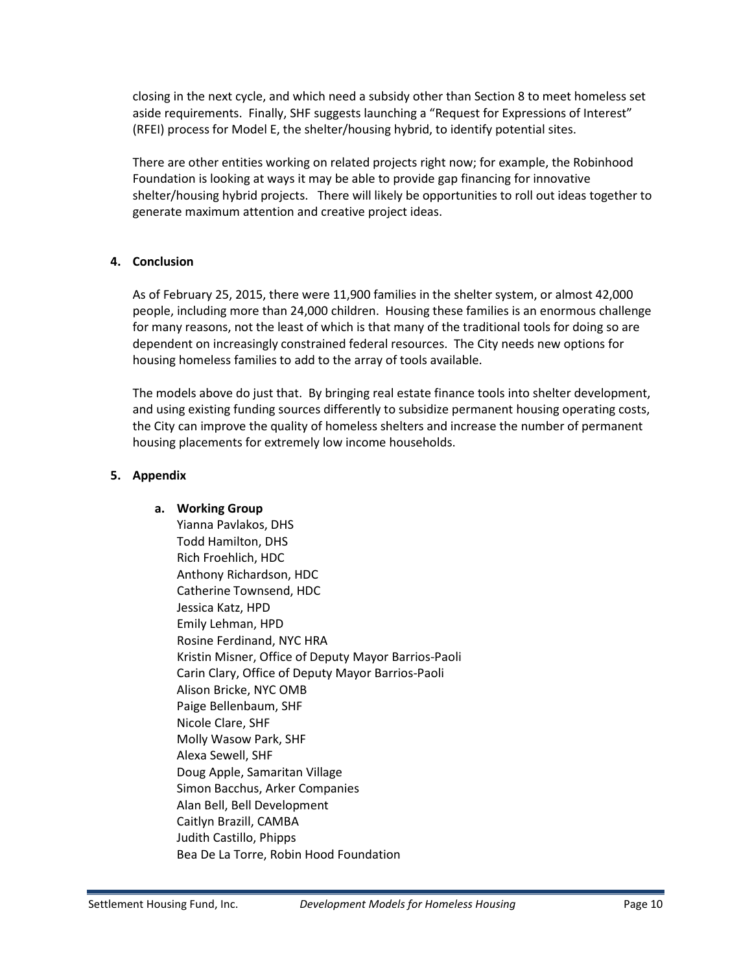closing in the next cycle, and which need a subsidy other than Section 8 to meet homeless set aside requirements. Finally, SHF suggests launching a "Request for Expressions of Interest" (RFEI) process for Model E, the shelter/housing hybrid, to identify potential sites.

There are other entities working on related projects right now; for example, the Robinhood Foundation is looking at ways it may be able to provide gap financing for innovative shelter/housing hybrid projects. There will likely be opportunities to roll out ideas together to generate maximum attention and creative project ideas.

## **4. Conclusion**

As of February 25, 2015, there were 11,900 families in the shelter system, or almost 42,000 people, including more than 24,000 children. Housing these families is an enormous challenge for many reasons, not the least of which is that many of the traditional tools for doing so are dependent on increasingly constrained federal resources. The City needs new options for housing homeless families to add to the array of tools available.

The models above do just that. By bringing real estate finance tools into shelter development, and using existing funding sources differently to subsidize permanent housing operating costs, the City can improve the quality of homeless shelters and increase the number of permanent housing placements for extremely low income households.

# **5. Appendix**

# **a. Working Group**

Yianna Pavlakos, DHS Todd Hamilton, DHS Rich Froehlich, HDC Anthony Richardson, HDC Catherine Townsend, HDC Jessica Katz, HPD Emily Lehman, HPD Rosine Ferdinand, NYC HRA Kristin Misner, Office of Deputy Mayor Barrios-Paoli Carin Clary, Office of Deputy Mayor Barrios-Paoli Alison Bricke, NYC OMB Paige Bellenbaum, SHF Nicole Clare, SHF Molly Wasow Park, SHF Alexa Sewell, SHF Doug Apple, Samaritan Village Simon Bacchus, Arker Companies Alan Bell, Bell Development Caitlyn Brazill, CAMBA Judith Castillo, Phipps Bea De La Torre, Robin Hood Foundation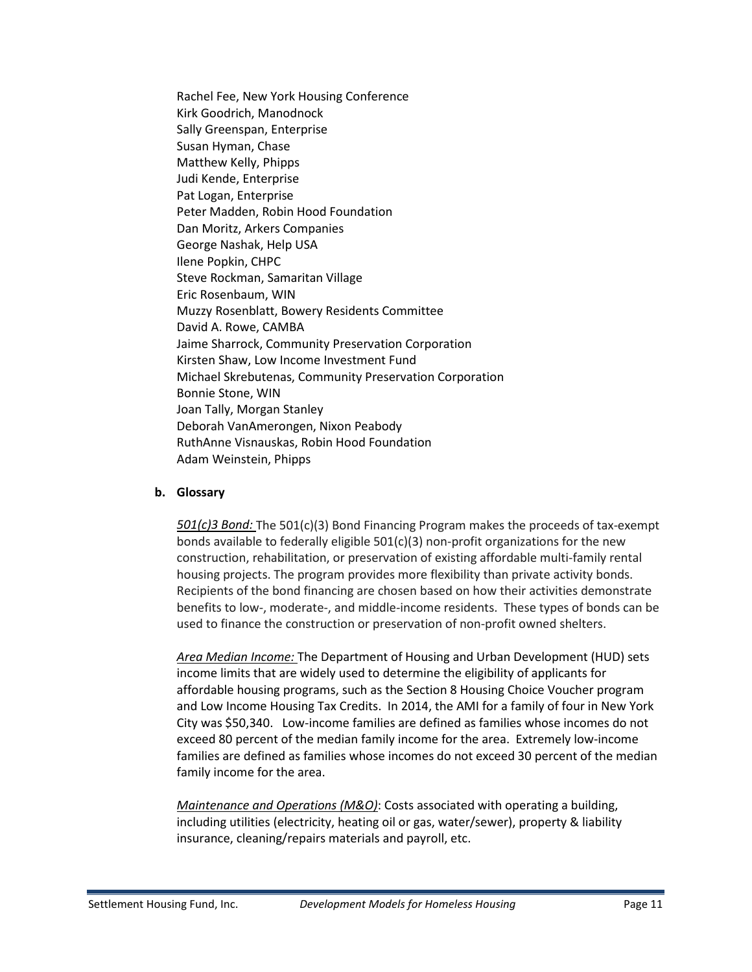Rachel Fee, New York Housing Conference Kirk Goodrich, Manodnock Sally Greenspan, Enterprise Susan Hyman, Chase Matthew Kelly, Phipps Judi Kende, Enterprise Pat Logan, Enterprise Peter Madden, Robin Hood Foundation Dan Moritz, Arkers Companies George Nashak, Help USA Ilene Popkin, CHPC Steve Rockman, Samaritan Village Eric Rosenbaum, WIN Muzzy Rosenblatt, Bowery Residents Committee David A. Rowe, CAMBA Jaime Sharrock, Community Preservation Corporation Kirsten Shaw, Low Income Investment Fund Michael Skrebutenas, Community Preservation Corporation Bonnie Stone, WIN Joan Tally, Morgan Stanley Deborah VanAmerongen, Nixon Peabody RuthAnne Visnauskas, Robin Hood Foundation Adam Weinstein, Phipps

### **b. Glossary**

*501(c)3 Bond:* The 501(c)(3) Bond Financing Program makes the proceeds of tax-exempt bonds available to federally eligible  $501(c)(3)$  non-profit organizations for the new construction, rehabilitation, or preservation of existing affordable multi-family rental housing projects. The program provides more flexibility than private activity bonds. Recipients of the bond financing are chosen based on how their activities demonstrate benefits to low-, moderate-, and middle-income residents. These types of bonds can be used to finance the construction or preservation of non-profit owned shelters.

*Area Median Income:* The Department of Housing and Urban Development (HUD) sets income limits that are widely used to determine the eligibility of applicants for affordable housing programs, such as the Section 8 Housing Choice Voucher program and Low Income Housing Tax Credits. In 2014, the AMI for a family of four in New York City was \$50,340. Low-income families are defined as families whose incomes do not exceed 80 percent of the median family income for the area. Extremely low-income families are defined as families whose incomes do not exceed 30 percent of the median family income for the area.

*Maintenance and Operations (M&O)*: Costs associated with operating a building, including utilities (electricity, heating oil or gas, water/sewer), property & liability insurance, cleaning/repairs materials and payroll, etc.